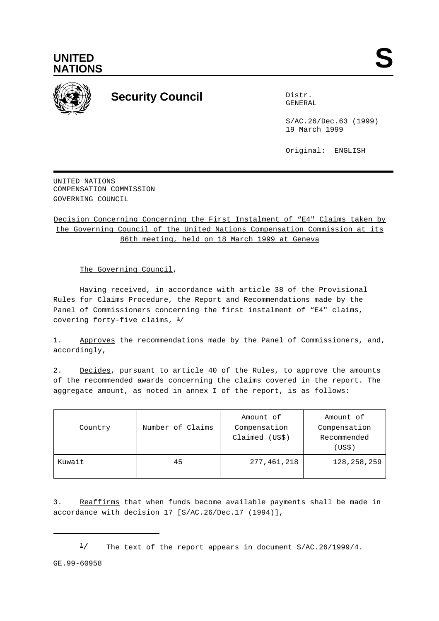



## **Security Council** Distribution of the Distribution of the Distribution of the Distribution of the Distribution of the Distribution of the Distribution of the Distribution of the Distribution of the Distribution of the Dis

GENERAL

S/AC.26/Dec.63 (1999) 19 March 1999

Original: ENGLISH

UNITED NATIONS COMPENSATION COMMISSION GOVERNING COUNCIL

Decision Concerning Concerning the First Instalment of "E4" Claims taken by the Governing Council of the United Nations Compensation Commission at its 86th meeting, held on 18 March 1999 at Geneva

The Governing Council,

Having received, in accordance with article 38 of the Provisional Rules for Claims Procedure, the Report and Recommendations made by the Panel of Commissioners concerning the first instalment of "E4" claims, covering forty-five claims,  $\frac{1}{2}$ 

1. Approves the recommendations made by the Panel of Commissioners, and, accordingly,

2. Decides, pursuant to article 40 of the Rules, to approve the amounts of the recommended awards concerning the claims covered in the report. The aggregate amount, as noted in annex I of the report, is as follows:

| Country | Number of Claims | Amount of<br>Compensation<br>Claimed (US\$) | Amount of<br>Compensation<br>Recommended<br>(US\$) |
|---------|------------------|---------------------------------------------|----------------------------------------------------|
| Kuwait  | 45               | 277,461,218                                 | 128, 258, 259                                      |

3. Reaffirms that when funds become available payments shall be made in accordance with decision 17 [S/AC.26/Dec.17 (1994)],

 $\frac{1}{2}$  The text of the report appears in document S/AC.26/1999/4.